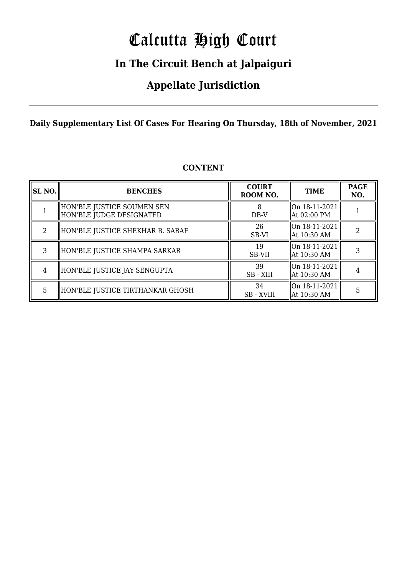# Calcutta High Court

### **In The Circuit Bench at Jalpaiguri**

### **Appellate Jurisdiction**

**Daily Supplementary List Of Cases For Hearing On Thursday, 18th of November, 2021**

| SL NO. | <b>BENCHES</b>                                         | <b>COURT</b><br>ROOM NO. | <b>TIME</b>                                        | <b>PAGE</b><br>NO. |
|--------|--------------------------------------------------------|--------------------------|----------------------------------------------------|--------------------|
|        | HON'BLE JUSTICE SOUMEN SEN<br>HON'BLE JUDGE DESIGNATED | $DB-V$                   | $ On 18-11-2021 $<br>  At 02:00 PM                 |                    |
|        | HON'BLE JUSTICE SHEKHAR B. SARAF                       | 26<br>SB-VI              | $ On 18-11-2021 $<br>At 10:30 AM                   |                    |
| 3      | HON'BLE JUSTICE SHAMPA SARKAR                          | 19<br>SB-VII             | $ On 18-11-2021 $<br>  At 10:30 AM                 |                    |
| 4      | HON'BLE JUSTICE JAY SENGUPTA                           | 39<br>SB - XIII          | $\lfloor$ On 18-11-2021 $\rfloor$<br>  At 10:30 AM |                    |
| 5      | HON'BLE JUSTICE TIRTHANKAR GHOSH                       | 34<br><b>SB</b> - XVIII  | On 18-11-2021<br>At 10:30 AM                       | 5                  |

#### **CONTENT**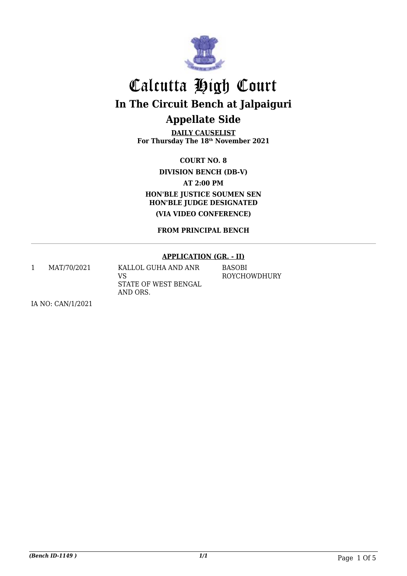

**DAILY CAUSELIST For Thursday The 18th November 2021**

**COURT NO. 8**

**DIVISION BENCH (DB-V)**

**AT 2:00 PM**

**HON'BLE JUSTICE SOUMEN SEN HON'BLE JUDGE DESIGNATED (VIA VIDEO CONFERENCE)**

**FROM PRINCIPAL BENCH**

#### **APPLICATION (GR. - II)**

1 MAT/70/2021 KALLOL GUHA AND ANR VS STATE OF WEST BENGAL AND ORS. BASOBI ROYCHOWDHURY

IA NO: CAN/1/2021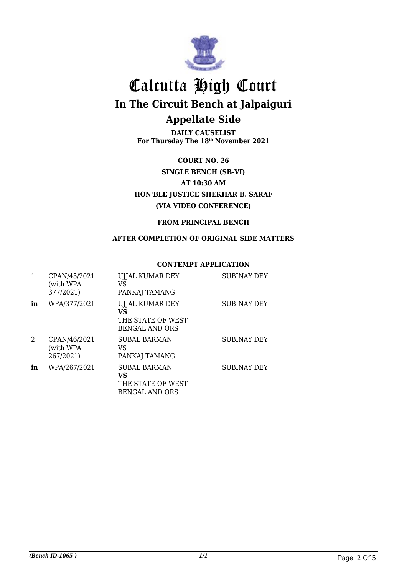

**DAILY CAUSELIST For Thursday The 18th November 2021**

**COURT NO. 26 SINGLE BENCH (SB-VI) AT 10:30 AM HON'BLE JUSTICE SHEKHAR B. SARAF (VIA VIDEO CONFERENCE)**

#### **FROM PRINCIPAL BENCH**

#### **AFTER COMPLETION OF ORIGINAL SIDE MATTERS**

#### **CONTEMPT APPLICATION**

| 1  | CPAN/45/2021<br>(with WPA<br>377/2021) | UJJAL KUMAR DEY<br>VS<br>PANKAJ TAMANG                                  | <b>SUBINAY DEY</b> |
|----|----------------------------------------|-------------------------------------------------------------------------|--------------------|
| in | WPA/377/2021                           | UJJAL KUMAR DEY<br>VS<br>THE STATE OF WEST<br><b>BENGAL AND ORS</b>     | <b>SUBINAY DEY</b> |
| 2  | CPAN/46/2021<br>(with WPA<br>267/2021) | SUBAL BARMAN<br>VS<br>PANKAJ TAMANG                                     | <b>SUBINAY DEY</b> |
| in | WPA/267/2021                           | <b>SUBAL BARMAN</b><br>VS<br>THE STATE OF WEST<br><b>BENGAL AND ORS</b> | SUBINAY DEY        |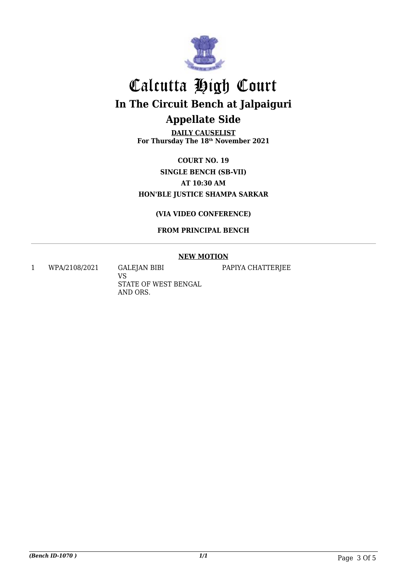

**DAILY CAUSELIST For Thursday The 18th November 2021**

**COURT NO. 19 SINGLE BENCH (SB-VII) AT 10:30 AM HON'BLE JUSTICE SHAMPA SARKAR**

**(VIA VIDEO CONFERENCE)**

**FROM PRINCIPAL BENCH**

#### **NEW MOTION**

PAPIYA CHATTERJEE

1 WPA/2108/2021 GALEJAN BIBI

VS STATE OF WEST BENGAL AND ORS.

*(Bench ID-1070 ) 1/1* Page 3 Of 5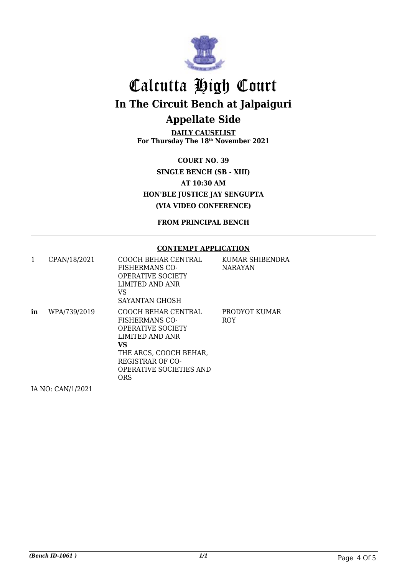

**DAILY CAUSELIST For Thursday The 18th November 2021**

**COURT NO. 39 SINGLE BENCH (SB - XIII) AT 10:30 AM HON'BLE JUSTICE JAY SENGUPTA (VIA VIDEO CONFERENCE)**

**FROM PRINCIPAL BENCH**

#### **CONTEMPT APPLICATION**

| 1  | CPAN/18/2021 | COOCH BEHAR CENTRAL<br><b>FISHERMANS CO-</b><br><b>OPERATIVE SOCIETY</b><br>LIMITED AND ANR<br>VS<br>SAYANTAN GHOSH                                                                              | KUMAR SHIBENDRA<br>NARAYAN  |
|----|--------------|--------------------------------------------------------------------------------------------------------------------------------------------------------------------------------------------------|-----------------------------|
| in | WPA/739/2019 | COOCH BEHAR CENTRAL<br><b>FISHERMANS CO-</b><br><b>OPERATIVE SOCIETY</b><br>LIMITED AND ANR<br>VS.<br>THE ARCS, COOCH BEHAR,<br>REGISTRAR OF CO-<br><b>OPERATIVE SOCIETIES AND</b><br><b>ORS</b> | PRODYOT KUMAR<br><b>ROY</b> |

IA NO: CAN/1/2021